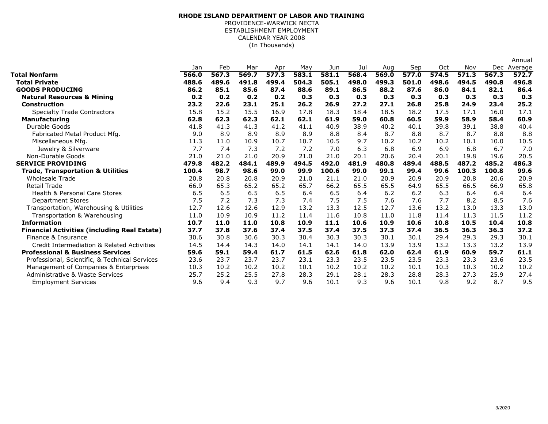## (In Thousands)**RHODE ISLAND DEPARTMENT OF LABOR AND TRAINING**PROVIDENCE-WARWICK NECTA ESTABLISHMENT EMPLOYMENTCALENDAR YEAR 2008

|                                                     |       |       |       |       |       |       |       |       |       |       |       |       | Annual      |
|-----------------------------------------------------|-------|-------|-------|-------|-------|-------|-------|-------|-------|-------|-------|-------|-------------|
|                                                     | Jan   | Feb   | Mar   | Apr   | May   | Jun   | Jul   | Aug   | Sep   | Oct   | Nov   |       | Dec Average |
| Total Nonfarm                                       | 566.0 | 567.3 | 569.7 | 577.3 | 583.1 | 581.1 | 568.4 | 569.0 | 577.0 | 574.5 | 571.3 | 567.3 | 572.7       |
| <b>Total Private</b>                                | 488.6 | 489.6 | 491.8 | 499.4 | 504.3 | 505.1 | 498.0 | 499.3 | 501.0 | 498.6 | 494.5 | 490.8 | 496.8       |
| <b>GOODS PRODUCING</b>                              | 86.2  | 85.1  | 85.6  | 87.4  | 88.6  | 89.1  | 86.5  | 88.2  | 87.6  | 86.0  | 84.1  | 82.1  | 86.4        |
| <b>Natural Resources &amp; Mining</b>               | 0.2   | 0.2   | 0.2   | 0.2   | 0.3   | 0.3   | 0.3   | 0.3   | 0.3   | 0.3   | 0.3   | 0.3   | 0.3         |
| Construction                                        | 23.2  | 22.6  | 23.1  | 25.1  | 26.2  | 26.9  | 27.2  | 27.1  | 26.8  | 25.8  | 24.9  | 23.4  | 25.2        |
| <b>Specialty Trade Contractors</b>                  | 15.8  | 15.2  | 15.5  | 16.9  | 17.8  | 18.3  | 18.4  | 18.5  | 18.2  | 17.5  | 17.1  | 16.0  | 17.1        |
| <b>Manufacturing</b>                                | 62.8  | 62.3  | 62.3  | 62.1  | 62.1  | 61.9  | 59.0  | 60.8  | 60.5  | 59.9  | 58.9  | 58.4  | 60.9        |
| Durable Goods                                       | 41.8  | 41.3  | 41.3  | 41.2  | 41.1  | 40.9  | 38.9  | 40.2  | 40.1  | 39.8  | 39.1  | 38.8  | 40.4        |
| Fabricated Metal Product Mfg.                       | 9.0   | 8.9   | 8.9   | 8.9   | 8.9   | 8.8   | 8.4   | 8.7   | 8.8   | 8.7   | 8.7   | 8.8   | 8.8         |
| Miscellaneous Mfg.                                  | 11.3  | 11.0  | 10.9  | 10.7  | 10.7  | 10.5  | 9.7   | 10.2  | 10.2  | 10.2  | 10.1  | 10.0  | 10.5        |
| Jewelry & Silverware                                | 7.7   | 7.4   | 7.3   | 7.2   | 7.2   | 7.0   | 6.3   | 6.8   | 6.9   | 6.9   | 6.8   | 6.7   | 7.0         |
| Non-Durable Goods                                   | 21.0  | 21.0  | 21.0  | 20.9  | 21.0  | 21.0  | 20.1  | 20.6  | 20.4  | 20.1  | 19.8  | 19.6  | 20.5        |
| <b>SERVICE PROVIDING</b>                            | 479.8 | 482.2 | 484.1 | 489.9 | 494.5 | 492.0 | 481.9 | 480.8 | 489.4 | 488.5 | 487.2 | 485.2 | 486.3       |
| <b>Trade, Transportation &amp; Utilities</b>        | 100.4 | 98.7  | 98.6  | 99.0  | 99.9  | 100.6 | 99.0  | 99.1  | 99.4  | 99.6  | 100.3 | 100.8 | 99.6        |
| <b>Wholesale Trade</b>                              | 20.8  | 20.8  | 20.8  | 20.9  | 21.0  | 21.1  | 21.0  | 20.9  | 20.9  | 20.9  | 20.8  | 20.6  | 20.9        |
| <b>Retail Trade</b>                                 | 66.9  | 65.3  | 65.2  | 65.2  | 65.7  | 66.2  | 65.5  | 65.5  | 64.9  | 65.5  | 66.5  | 66.9  | 65.8        |
| <b>Health &amp; Personal Care Stores</b>            | 6.5   | 6.5   | 6.5   | 6.5   | 6.4   | 6.5   | 6.4   | 6.2   | 6.2   | 6.3   | 6.4   | 6.4   | 6.4         |
| <b>Department Stores</b>                            | 7.5   | 7.2   | 7.3   | 7.3   | 7.4   | 7.5   | 7.5   | 7.6   | 7.6   | 7.7   | 8.2   | 8.5   | 7.6         |
| Transportation, Warehousing & Utilities             | 12.7  | 12.6  | 12.6  | 12.9  | 13.2  | 13.3  | 12.5  | 12.7  | 13.6  | 13.2  | 13.0  | 13.3  | 13.0        |
| Transportation & Warehousing                        | 11.0  | 10.9  | 10.9  | 11.2  | 11.4  | 11.6  | 10.8  | 11.0  | 11.8  | 11.4  | 11.3  | 11.5  | 11.2        |
| <b>Information</b>                                  | 10.7  | 11.0  | 11.0  | 10.8  | 10.9  | 11.1  | 10.6  | 10.9  | 10.6  | 10.8  | 10.5  | 10.4  | 10.8        |
| <b>Financial Activities (including Real Estate)</b> | 37.7  | 37.8  | 37.6  | 37.4  | 37.5  | 37.4  | 37.5  | 37.3  | 37.4  | 36.5  | 36.3  | 36.3  | 37.2        |
| Finance & Insurance                                 | 30.6  | 30.8  | 30.6  | 30.3  | 30.4  | 30.3  | 30.3  | 30.1  | 30.1  | 29.4  | 29.3  | 29.3  | 30.1        |
| Credit Intermediation & Related Activities          | 14.5  | 14.4  | 14.3  | 14.0  | 14.1  | 14.1  | 14.0  | 13.9  | 13.9  | 13.2  | 13.3  | 13.2  | 13.9        |
| <b>Professional &amp; Business Services</b>         | 59.6  | 59.1  | 59.4  | 61.7  | 61.5  | 62.6  | 61.8  | 62.0  | 62.4  | 61.9  | 60.9  | 59.7  | 61.1        |
| Professional, Scientific, & Technical Services      | 23.6  | 23.7  | 23.7  | 23.7  | 23.1  | 23.3  | 23.5  | 23.5  | 23.5  | 23.3  | 23.3  | 23.6  | 23.5        |
| Management of Companies & Enterprises               | 10.3  | 10.2  | 10.2  | 10.2  | 10.1  | 10.2  | 10.2  | 10.2  | 10.1  | 10.3  | 10.3  | 10.2  | 10.2        |
| Administrative & Waste Services                     | 25.7  | 25.2  | 25.5  | 27.8  | 28.3  | 29.1  | 28.1  | 28.3  | 28.8  | 28.3  | 27.3  | 25.9  | 27.4        |
| <b>Employment Services</b>                          | 9.6   | 9.4   | 9.3   | 9.7   | 9.6   | 10.1  | 9.3   | 9.6   | 10.1  | 9.8   | 9.2   | 8.7   | 9.5         |
|                                                     |       |       |       |       |       |       |       |       |       |       |       |       |             |